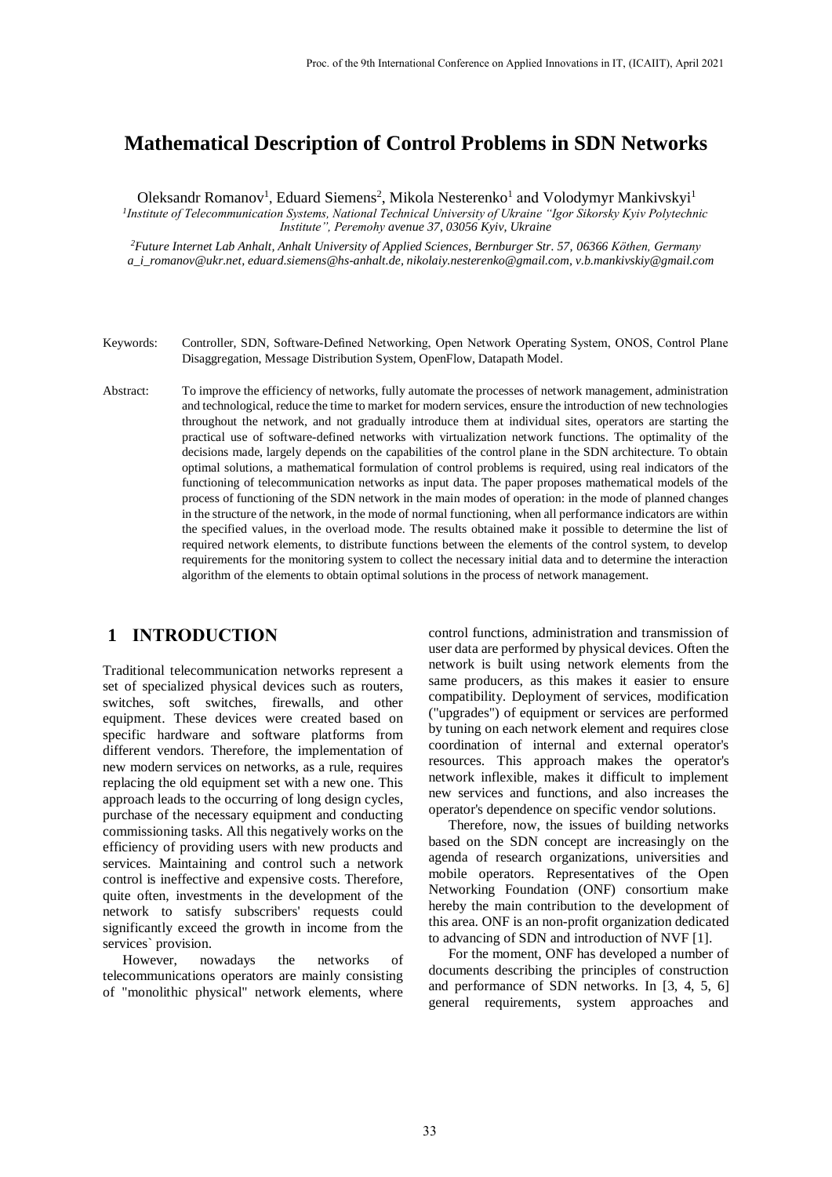# **Mathematical Description of Control Problems in SDN Networks**

Oleksandr Romanov<sup>1</sup>, Eduard Siemens<sup>2</sup>, Mikola Nesterenko<sup>1</sup> and Volodymyr Mankivskyi<sup>1</sup>

*1 Institute of Telecommunication Systems, National Technical University of Ukraine "Igor Sikorsky Kyiv Polytechnic Institute", Peremohy avenue 37, 03056 Kyiv, Ukraine* 

*<sup>2</sup>Future Internet Lab Anhalt, Anhalt University of Applied Sciences, Bernburger Str. 57, 06366 Köthen, Germany [a\\_i\\_romanov@ukr.net](mailto:a_i_romanov@ukr.net), eduard.siemens@hs-anhalt.de, [nikolaiy.nesterenko@gmail.com,](mailto:nikolaiy.nesterenko@gmail.com) [v.b.mankivskiy@gmail.com](mailto:v.b.mankivskiy@gmail.com)*

- Keywords: Controller, SDN, Software-Defined Networking, Open Network Operating System, ONOS, Control Plane Disaggregation, Message Distribution System, OpenFlow, Datapath Model.
- Abstract: To improve the efficiency of networks, fully automate the processes of network management, administration and technological, reduce the time to market for modern services, ensure the introduction of new technologies throughout the network, and not gradually introduce them at individual sites, operators are starting the practical use of software-defined networks with virtualization network functions. The optimality of the decisions made, largely depends on the capabilities of the control plane in the SDN architecture. To obtain optimal solutions, a mathematical formulation of control problems is required, using real indicators of the functioning of telecommunication networks as input data. The paper proposes mathematical models of the process of functioning of the SDN network in the main modes of operation: in the mode of planned changes in the structure of the network, in the mode of normal functioning, when all performance indicators are within the specified values, in the overload mode. The results obtained make it possible to determine the list of required network elements, to distribute functions between the elements of the control system, to develop requirements for the monitoring system to collect the necessary initial data and to determine the interaction algorithm of the elements to obtain optimal solutions in the process of network management.

## **1 INTRODUCTION**

Traditional telecommunication networks represent a set of specialized physical devices such as routers, switches, soft switches, firewalls, and other equipment. These devices were created based on specific hardware and software platforms from different vendors. Therefore, the implementation of new modern services on networks, as a rule, requires replacing the old equipment set with a new one. This approach leads to the occurring of long design cycles, purchase of the necessary equipment and conducting commissioning tasks. All this negatively works on the efficiency of providing users with new products and services. Maintaining and control such a network control is ineffective and expensive costs. Therefore, quite often, investments in the development of the network to satisfy subscribers' requests could significantly exceed the growth in income from the services` provision.

However, nowadays the networks of telecommunications operators are mainly consisting of "monolithic physical" network elements, where control functions, administration and transmission of user data are performed by physical devices. Often the network is built using network elements from the same producers, as this makes it easier to ensure compatibility. Deployment of services, modification ("upgrades") of equipment or services are performed by tuning on each network element and requires close coordination of internal and external operator's resources. This approach makes the operator's network inflexible, makes it difficult to implement new services and functions, and also increases the operator's dependence on specific vendor solutions.

Therefore, now, the issues of building networks based on the SDN concept are increasingly on the agenda of research organizations, universities and mobile operators. Representatives of the Open Networking Foundation (ONF) consortium make hereby the main contribution to the development of this area. ONF is an non-profit organization dedicated to advancing of SDN and introduction of NVF [1].

For the moment, ONF has developed a number of documents describing the principles of construction and performance of SDN networks. In [3, 4, 5, 6] general requirements, system approaches and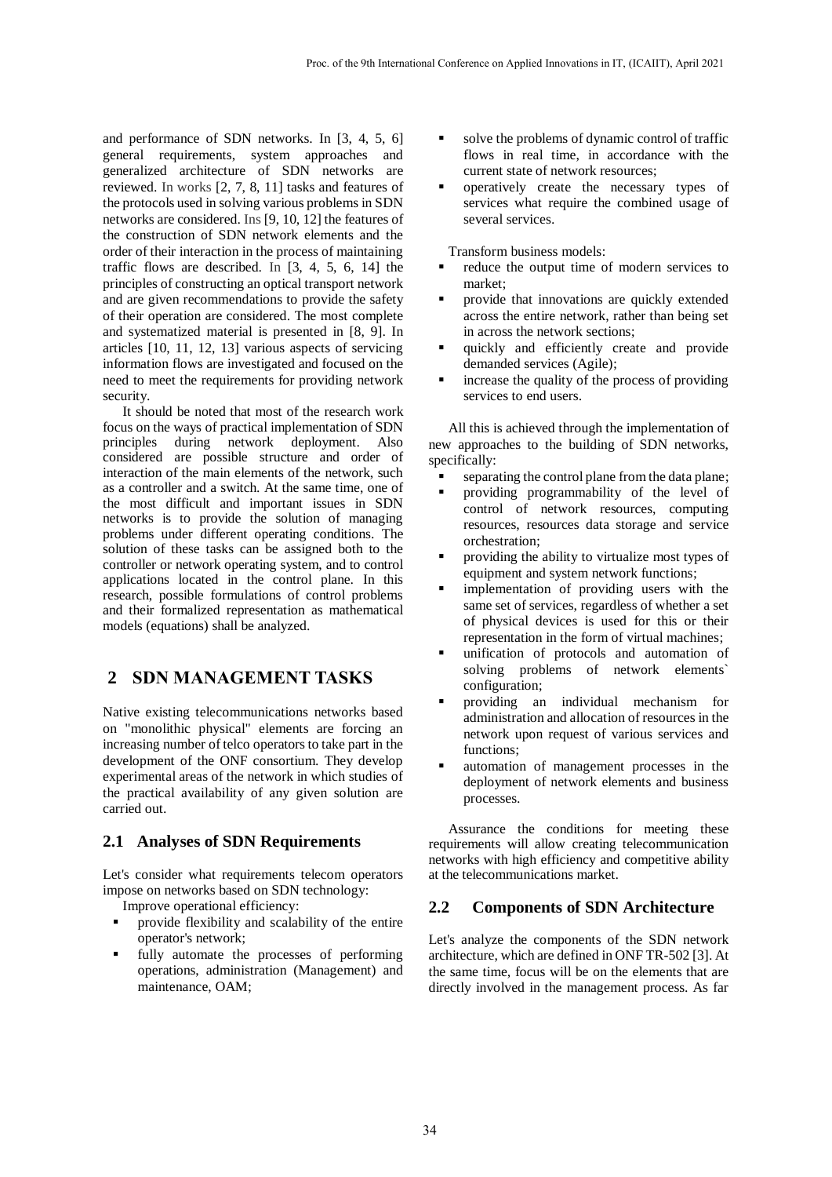and performance of SDN networks. In [3, 4, 5, 6] general requirements, system approaches and generalized architecture of SDN networks are reviewed. In works [2, 7, 8, 11] tasks and features of the protocols used in solving various problems in SDN networks are considered. Ins [9, 10, 12] the features of the construction of SDN network elements and the order of their interaction in the process of maintaining traffic flows are described. In [3, 4, 5, 6, 14] the principles of constructing an optical transport network and are given recommendations to provide the safety of their operation are considered. The most complete and systematized material is presented in [8, 9]. In articles [10, 11, 12, 13] various aspects of servicing information flows are investigated and focused on the need to meet the requirements for providing network security.

It should be noted that most of the research work focus on the ways of practical implementation of SDN principles during network deployment. Also considered are possible structure and order of interaction of the main elements of the network, such as a controller and a switch. At the same time, one of the most difficult and important issues in SDN networks is to provide the solution of managing problems under different operating conditions. The solution of these tasks can be assigned both to the controller or network operating system, and to control applications located in the control plane. In this research, possible formulations of control problems and their formalized representation as mathematical models (equations) shall be analyzed.

## **2 SDN MANAGEMENT TASKS**

Native existing telecommunications networks based on "monolithic physical" elements are forcing an increasing number of telco operators to take part in the development of the ONF consortium. They develop experimental areas of the network in which studies of the practical availability of any given solution are carried out.

#### **2.1 Analyses of SDN Requirements**

Let's consider what requirements telecom operators impose on networks based on SDN technology:

Improve operational efficiency:

- provide flexibility and scalability of the entire operator's network;
- fully automate the processes of performing operations, administration (Management) and maintenance, OAM;
- solve the problems of dynamic control of traffic flows in real time, in accordance with the current state of network resources;
- operatively create the necessary types of services what require the combined usage of several services.

Transform business models:

- reduce the output time of modern services to market;
- provide that innovations are quickly extended across the entire network, rather than being set in across the network sections;
- quickly and efficiently create and provide demanded services (Agile);
- $\blacksquare$  increase the quality of the process of providing services to end users.

All this is achieved through the implementation of new approaches to the building of SDN networks, specifically:

- separating the control plane from the data plane;
- providing programmability of the level of control of network resources, computing resources, resources data storage and service orchestration;
- providing the ability to virtualize most types of equipment and system network functions;
- implementation of providing users with the same set of services, regardless of whether a set of physical devices is used for this or their representation in the form of virtual machines;
- unification of protocols and automation of solving problems of network elements` configuration;
- providing an individual mechanism for administration and allocation of resources in the network upon request of various services and functions;
- automation of management processes in the deployment of network elements and business processes.

Assurance the conditions for meeting these requirements will allow creating telecommunication networks with high efficiency and competitive ability at the telecommunications market.

#### **2.2 Components of SDN Architecture**

Let's analyze the components of the SDN network architecture, which are defined in ONF TR-502 [3]. At the same time, focus will be on the elements that are directly involved in the management process. As far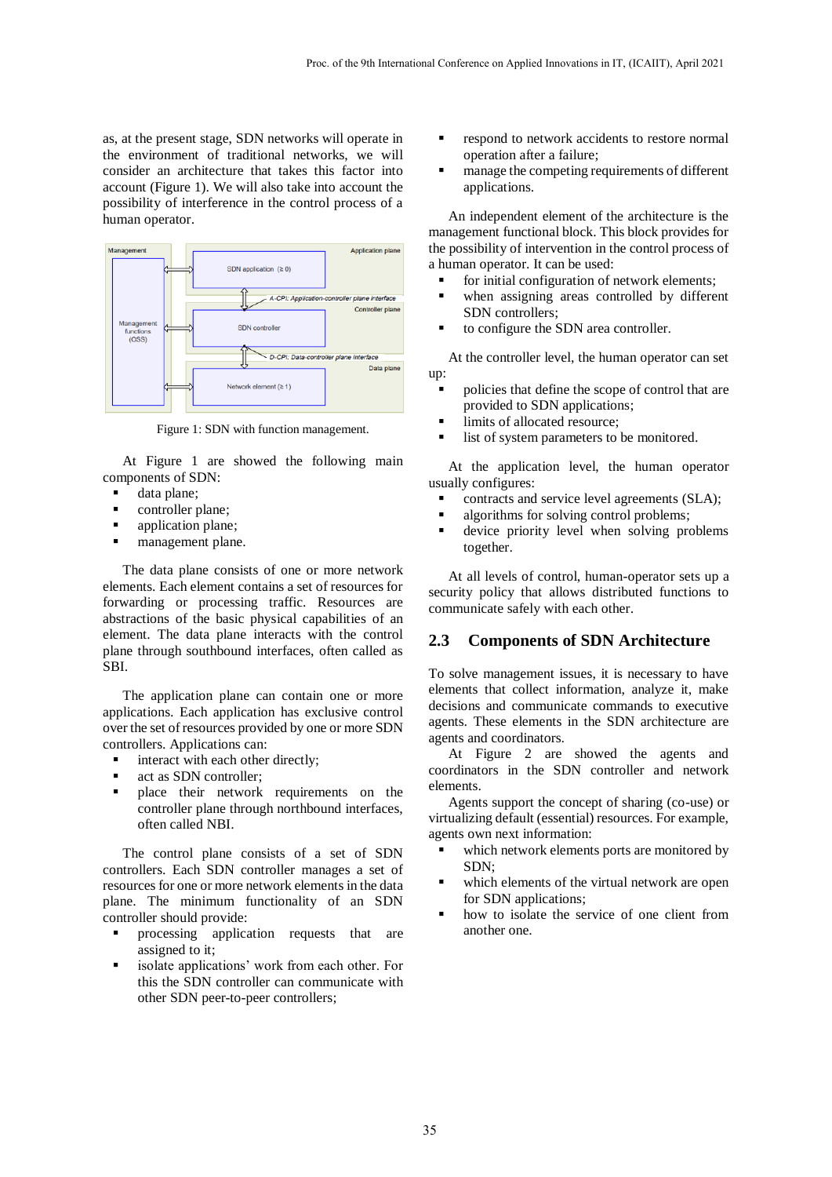as, at the present stage, SDN networks will operate in the environment of traditional networks, we will consider an architecture that takes this factor into account (Figure 1). We will also take into account the possibility of interference in the control process of a human operator.



Figure 1: SDN with function management.

At Figure 1 are showed the following main components of SDN:

- data plane;
- controller plane;
- application plane;
- management plane.

The data plane consists of one or more network elements. Each element contains a set of resources for forwarding or processing traffic. Resources are abstractions of the basic physical capabilities of an element. The data plane interacts with the control plane through southbound interfaces, often called as SBI.

The application plane can contain one or more applications. Each application has exclusive control over the set of resources provided by one or more SDN controllers. Applications can:

- **i** interact with each other directly;
- act as SDN controller;
- place their network requirements on the controller plane through northbound interfaces, often called NBI.

The control plane consists of a set of SDN controllers. Each SDN controller manages a set of resources for one or more network elements in the data plane. The minimum functionality of an SDN controller should provide:

- processing application requests that are assigned to it;
- isolate applications' work from each other. For this the SDN controller can communicate with other SDN peer-to-peer controllers;
- respond to network accidents to restore normal operation after a failure;
- manage the competing requirements of different applications.

An independent element of the architecture is the management functional block. This block provides for the possibility of intervention in the control process of a human operator. It can be used:

- **for initial configuration of network elements;**
- when assigning areas controlled by different SDN controllers;
- to configure the SDN area controller.

At the controller level, the human operator can set up:

- policies that define the scope of control that are provided to SDN applications;
- limits of allocated resource;
- list of system parameters to be monitored.

At the application level, the human operator usually configures:

- contracts and service level agreements (SLA);
- algorithms for solving control problems;
- device priority level when solving problems together.

At all levels of control, human-operator sets up a security policy that allows distributed functions to communicate safely with each other.

#### **2.3 Components of SDN Architecture**

To solve management issues, it is necessary to have elements that collect information, analyze it, make decisions and communicate commands to executive agents. These elements in the SDN architecture are agents and coordinators.

At Figure 2 are showed the agents and coordinators in the SDN controller and network elements.

Agents support the concept of sharing (co-use) or virtualizing default (essential) resources. For example, agents own next information:

- which network elements ports are monitored by SDN;
- which elements of the virtual network are open for SDN applications;
- how to isolate the service of one client from another one.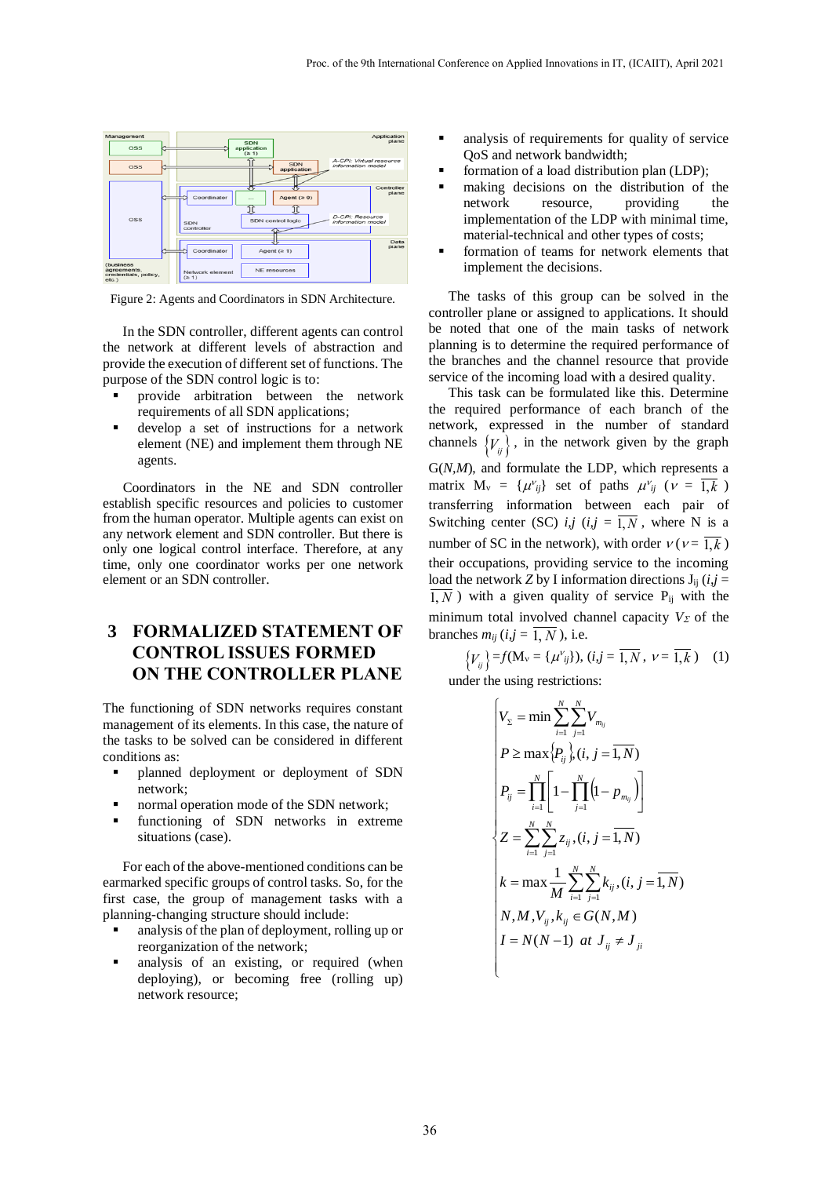

Figure 2: Agents and Coordinators in SDN Architecture.

In the SDN controller, different agents can control the network at different levels of abstraction and provide the execution of different set of functions. The purpose of the SDN control logic is to:

- provide arbitration between the network requirements of all SDN applications;
- develop a set of instructions for a network element (NE) and implement them through NE agents.

Coordinators in the NE and SDN controller establish specific resources and policies to customer from the human operator. Multiple agents can exist on any network element and SDN controller. But there is only one logical control interface. Therefore, at any time, only one coordinator works per one network element or an SDN controller.

### **3 FORMALIZED STATEMENT OF CONTROL ISSUES FORMED ON THE CONTROLLER PLANE**

The functioning of SDN networks requires constant management of its elements. In this case, the nature of the tasks to be solved can be considered in different conditions as:

- planned deployment or deployment of SDN network;
- normal operation mode of the SDN network;
- functioning of SDN networks in extreme situations (case).

For each of the above-mentioned conditions can be earmarked specific groups of control tasks. So, for the first case, the group of management tasks with a planning-changing structure should include:

- analysis of the plan of deployment, rolling up or reorganization of the network;
- analysis of an existing, or required (when deploying), or becoming free (rolling up) network resource;
- analysis of requirements for quality of service QoS and network bandwidth;
- formation of a load distribution plan (LDP);
- making decisions on the distribution of the network resource, providing the implementation of the LDP with minimal time, material-technical and other types of costs;
- formation of teams for network elements that implement the decisions.

The tasks of this group can be solved in the controller plane or assigned to applications. It should be noted that one of the main tasks of network planning is to determine the required performance of the branches and the channel resource that provide service of the incoming load with a desired quality.

This task can be formulated like this. Determine the required performance of each branch of the network, expressed in the number of standard channels  ${V_{ij}}$ , in the network given by the graph G(*N,M*), and formulate the LDP, which represents a matrix  $M_v = {\mu v_{ij}}$  set of paths  $\mu v_{ij}$  ( $\nu = 1, k$ ) transferring information between each pair of Switching center (SC)  $i, j$  ( $i, j = \overline{1, N}$ , where N is a number of SC in the network), with order  $v (v = 1, k)$ their occupations, providing service to the incoming load the network *Z* by I information directions  $J_{ij}$  (*i,j* =  $\overline{1, N}$ ) with a given quality of service P<sub>ij</sub> with the minimum total involved channel capacity  $V_{\Sigma}$  of the branches  $m_{ij}$  ( $i, j = 1, N$ ), i.e.

 ${V_{ij}}$  = *f*(M<sub>v</sub> = { $\mu^{V_{ij}}$ }), (*i,j* =  $\overline{1,N}$ ,  $v = \overline{1,k}$ ) (1)

under the using restrictions:

$$
\begin{cases}\nV_{\Sigma} = \min \sum_{i=1}^{N} \sum_{j=1}^{N} V_{m_{ij}} \\
P \ge \max \{P_{ij}\}, (i, j = \overline{1, N}) \\
P_{ij} = \prod_{i=1}^{N} \left[1 - \prod_{j=1}^{N} (1 - p_{m_{ij}})\right] \\
Z = \sum_{i=1}^{N} \sum_{j=1}^{N} z_{ij}, (i, j = \overline{1, N}) \\
k = \max \frac{1}{M} \sum_{i=1}^{N} \sum_{j=1}^{N} k_{ij}, (i, j = \overline{1, N}) \\
N, M, V_{ij}, k_{ij} \in G(N, M) \\
I = N(N-1) \text{ at } J_{ij} \neq J_{ji}\n\end{cases}
$$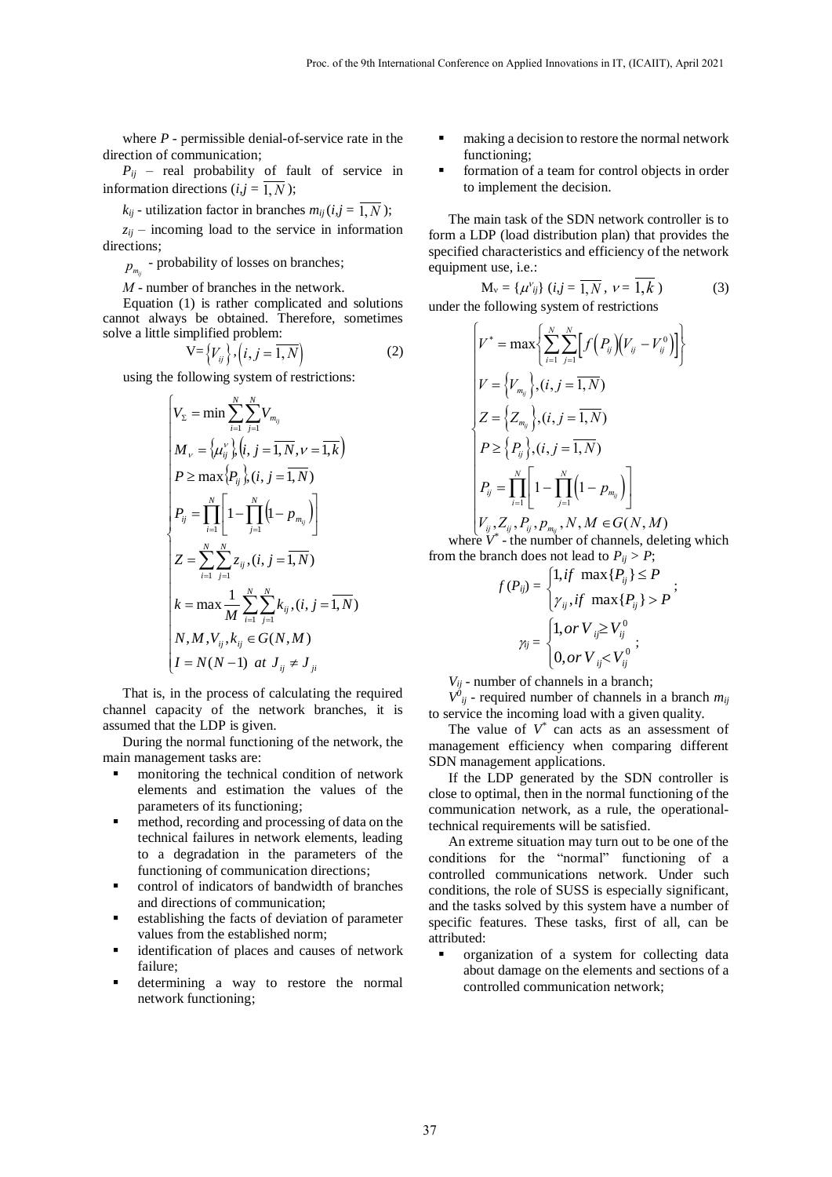where *P* - permissible denial-of-service rate in the direction of communication;

 $P_{ij}$  – real probability of fault of service in information directions  $(i, j = 1, N)$ ;

 $k_{ij}$  - utilization factor in branches  $m_{ij}$  ( $i, j = 1, N$ );

 $z_{ij}$  – incoming load to the service in information directions;

 $p_{m_{ij}}$  - probability of losses on branches;

*М -* number of branches in the network.

Equation (1) is rather complicated and solutions cannot always be obtained. Therefore, sometimes solve a little simplified problem:

$$
\mathbf{V} = \left\{ V_{ij} \right\}, \left( i, j = \overline{1, N} \right) \tag{2}
$$

using the following system of restrictions:

$$
\begin{cases}\nV_{\Sigma} = \min \sum_{i=1}^{N} \sum_{j=1}^{N} V_{m_{ij}} \\
M_{\nu} = \left\{ \mu_{ij}^{\nu} \right\} \left( i, j = \overline{1, N}, \nu = \overline{1, k} \right) \\
P \ge \max \left\{ P_{ij} \right\} \left( i, j = \overline{1, N} \right) \\
P_{ij} = \prod_{i=1}^{N} \left[ 1 - \prod_{j=1}^{N} \left( 1 - p_{m_{ij}} \right) \right] \\
Z = \sum_{i=1}^{N} \sum_{j=1}^{N} z_{ij}, (i, j = \overline{1, N}) \\
k = \max \frac{1}{M} \sum_{i=1}^{N} \sum_{j=1}^{N} k_{ij}, (i, j = \overline{1, N}) \\
N, M, V_{ij}, k_{ij} \in G(N, M) \\
I = N(N-1) \text{ at } J_{ij} \neq J_{ji}\n\end{cases}
$$

That is, in the process of calculating the required channel capacity of the network branches, it is assumed that the LDP is given.

During the normal functioning of the network, the main management tasks are:

- monitoring the technical condition of network elements and estimation the values of the parameters of its functioning;
- method, recording and processing of data on the technical failures in network elements, leading to a degradation in the parameters of the functioning of communication directions;
- control of indicators of bandwidth of branches and directions of communication;
- establishing the facts of deviation of parameter values from the established norm;
- identification of places and causes of network failure;
- determining a way to restore the normal network functioning;
- making a decision to restore the normal network functioning;
- formation of a team for control objects in order to implement the decision.

The main task of the SDN network controller is to form a LDP (load distribution plan) that provides the specified characteristics and efficiency of the network equipment use, i.e.:

$$
M_{v} = \{\mu^{v}_{ij}\} \ (i,j = \overline{1,N}, \ \nu = \overline{1,k} \ )
$$
 (3)

under the following system of restrictions

the following system of restrictions  
\n
$$
\left\{V^* = \max\left\{\sum_{i=1}^N \sum_{j=1}^N \left[f\left(P_{ij}\right)\left(V_{ij} - V_{ij}^0\right)\right]\right\}
$$
\n
$$
V = \left\{V_{m_{ij}}\right\}, (i, j = \overline{1, N})
$$
\n
$$
Z = \left\{Z_{m_{ij}}\right\}, (i, j = \overline{1, N})
$$
\n
$$
P \geq \left\{P_{ij}\right\}, (i, j = \overline{1, N})
$$
\n
$$
P_{ij} = \prod_{i=1}^N \left[1 - \prod_{j=1}^N \left(1 - p_{m_{ij}}\right)\right]
$$
\n
$$
V_{ij}, Z_{ij}, P_{ij}, p_{m_{ij}}, N, M \in G(N, M)
$$

$$
V_{ij}, Z_{ij}, P_{ij}, p_{m_{ij}}, N, M \in G(N, M)
$$
  
where  $V^*$  - the number of channels, deleting which

from the branch does not lead to  $P_{ij} > P$ ;

$$
f(P_{ij}) = \begin{cases} 1, if \ \max\{P_{ij}\} \le P \\ \gamma_{ij}, if \ \max\{P_{ij}\} > P \end{cases};
$$

$$
\gamma_{ij} = \begin{cases} 1, or \ V_{ij} \ge V_{ij}^0 \\ 0, or \ V_{ij} < V_{ij}^0 \end{cases};
$$

*Vij* - number of channels in a branch;

 $V^{0}$ <sub>*ij*</sub> - required number of channels in a branch  $m_{ij}$ to service the incoming load with a given quality.

The value of  $V^*$  can acts as an assessment of management efficiency when comparing different SDN management applications.

If the LDP generated by the SDN controller is close to optimal, then in the normal functioning of the communication network, as a rule, the operationaltechnical requirements will be satisfied.

An extreme situation may turn out to be one of the conditions for the "normal" functioning of a controlled communications network. Under such conditions, the role of SUSS is especially significant, and the tasks solved by this system have a number of specific features. These tasks, first of all, can be attributed:

 organization of a system for collecting data about damage on the elements and sections of a controlled communication network;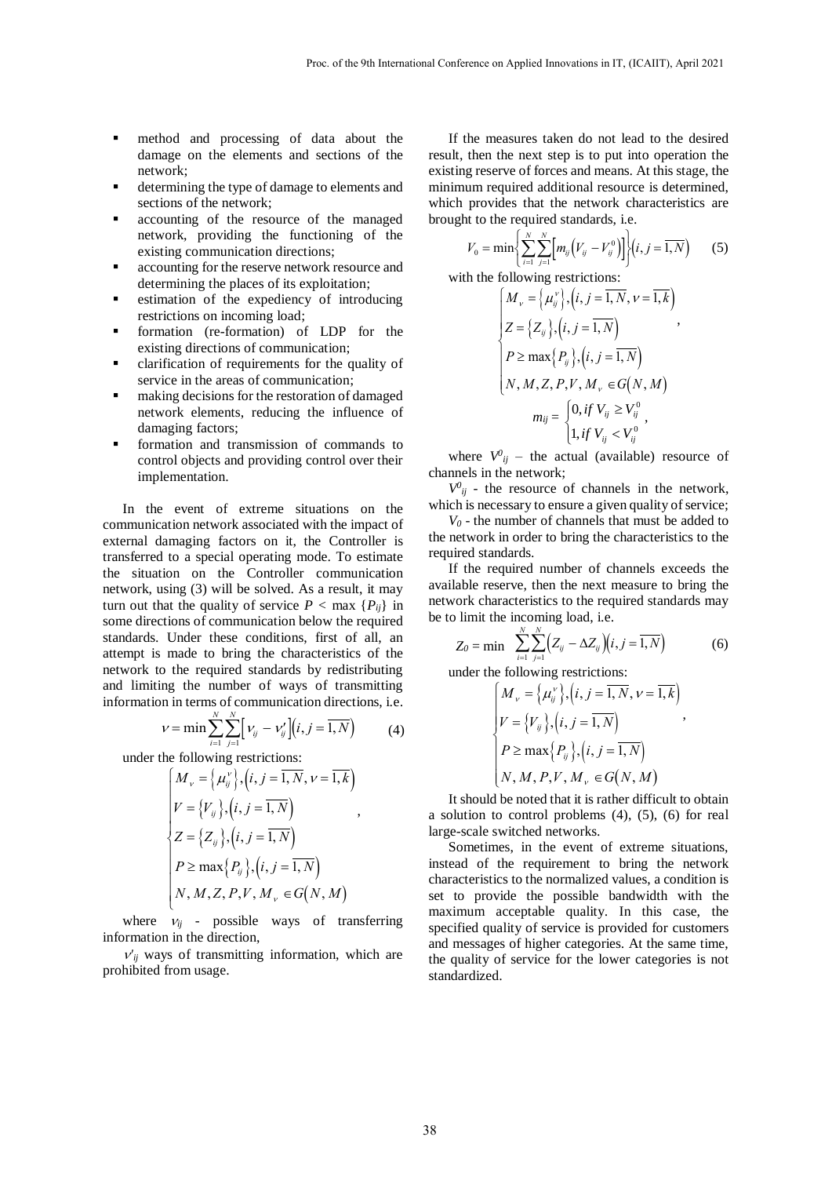- method and processing of data about the damage on the elements and sections of the network;
- determining the type of damage to elements and sections of the network;
- accounting of the resource of the managed network, providing the functioning of the existing communication directions;
- accounting for the reserve network resource and determining the places of its exploitation;
- estimation of the expediency of introducing restrictions on incoming load;
- formation (re-formation) of LDP for the existing directions of communication;
- clarification of requirements for the quality of service in the areas of communication;
- making decisions for the restoration of damaged network elements, reducing the influence of damaging factors;
- formation and transmission of commands to control objects and providing control over their implementation.

In the event of extreme situations on the communication network associated with the impact of external damaging factors on it, the Controller is transferred to a special operating mode. To estimate the situation on the Controller communication network, using (3) will be solved. As a result, it may turn out that the quality of service  $P < \max \{P_{ij}\}\$ in some directions of communication below the required standards. Under these conditions, first of all, an attempt is made to bring the characteristics of the network to the required standards by redistributing

and limiting the number of ways of transmitting information in terms of communication directions, i.e. 
$$
v = \min \sum_{i=1}^{N} \sum_{j=1}^{N} \left[ v_{ij} - v'_{ij} \right] (i, j = \overline{1, N})
$$
 (4)

under the following restrictions:

$$
\sum_{i=1}^{n} \sum_{j=1}^{n} {y \choose j} \cdot (y, y)
$$
\nThe following restrictions:

\n
$$
\begin{cases}\nM_v = \left\{ \mu_{ij}^v \right\}, (i, j = \overline{1, N}, v = \overline{1, k}) \\
V = \left\{ V_{ij} \right\}, (i, j = \overline{1, N}) \\
Z = \left\{ Z_{ij} \right\}, (i, j = \overline{1, N}) \\
P \ge \max \left\{ P_{ij} \right\}, (i, j = \overline{1, N}) \\
N, M, Z, P, V, M_v \in G(N, M)\n\end{cases}
$$

where  $v_{ij}$  - possible ways of transferring information in the direction,

 $v'_{ij}$  ways of transmitting information, which are prohibited from usage.

If the measures taken do not lead to the desired result, then the next step is to put into operation the existing reserve of forces and means. At this stage, the minimum required additional resource is determined, which provides that the network characteristics are<br>brought to the required standards, i.e.<br> $V_0 = \min \left\{ \sum_{i=1}^N \sum_{j=1}^N \left[ m_{ij} (V_{ij} - V_{ij}^0) \right] \right\} (i, j = \overline{1, N})$  (5)

brought to the required standards, i.e.  
\n
$$
V_0 = \min \left\{ \sum_{i=1}^{N} \sum_{j=1}^{N} \left[ m_{ij} \left( V_{ij} - V_{ij}^0 \right) \right] \right\} (i, j = \overline{1, N}) \tag{5}
$$

with the following restrictions:

$$
\left[\frac{1}{i-1}\sum_{j=1}^{i-1} \binom{y}{j} \cdot \binom{y}{j} \cdot \binom{y}{j}\right]^{k}
$$
\nFollowing restrictions:

\n
$$
\begin{cases}\nM_v = \left\{\mu_{ij}^v\right\}, \left(i, j = \overline{1, N}, v = \overline{1, k}\right) \\
Z = \left\{Z_{ij}\right\}, \left(i, j = \overline{1, N}\right) \\
P \ge \max\left\{P_{ij}\right\}, \left(i, j = \overline{1, N}\right) \\
N, M, Z, P, V, M_v \in G(N, M) \\
m_{ij} = \begin{cases}\n0, \text{if } V_{ij} \ge V_{ij}^0 \\
1, \text{if } V_{ij} < V_{ij}^0\n\end{cases},\n\end{cases}
$$

where  $V^{0}_{ij}$  – the actual (available) resource of channels in the network;

 $V^0_{ij}$  - the resource of channels in the network, which is necessary to ensure a given quality of service;

 $V_0$  - the number of channels that must be added to the network in order to bring the characteristics to the required standards.

If the required number of channels exceeds the available reserve, then the next measure to bring the network characteristics to the required standards may

be to limit the incoming load, i.e.  
\n
$$
Z_0 = \min \sum_{i=1}^{N} \sum_{j=1}^{N} \left( Z_{ij} - \Delta Z_{ij} \right) \left( i, j = \overline{1, N} \right)
$$
\n(6)

under the following restrictions:

$$
\begin{aligned}\n&\text{the following restrictions:} \\
&\quad \left\{\n\begin{aligned}\nM_v &= \left\{\mu_{ij}^v\right\}, \left(i, j = \overline{1, N}, v = \overline{1, k}\right) \\
V &= \left\{\nu_{ij}^v\right\}, \left(i, j = \overline{1, N}\right) \\
P &\geq \max\left\{P_{ij}^v\right\}, \left(i, j = \overline{1, N}\right) \\
N, M, P, V, M_v &\in G(N, M)\n\end{aligned}\n\end{aligned}
$$

It should be noted that it is rather difficult to obtain a solution to control problems (4), (5), (6) for real large-scale switched networks.

Sometimes, in the event of extreme situations, instead of the requirement to bring the network characteristics to the normalized values, a condition is set to provide the possible bandwidth with the maximum acceptable quality. In this case, the specified quality of service is provided for customers and messages of higher categories. At the same time, the quality of service for the lower categories is not standardized.